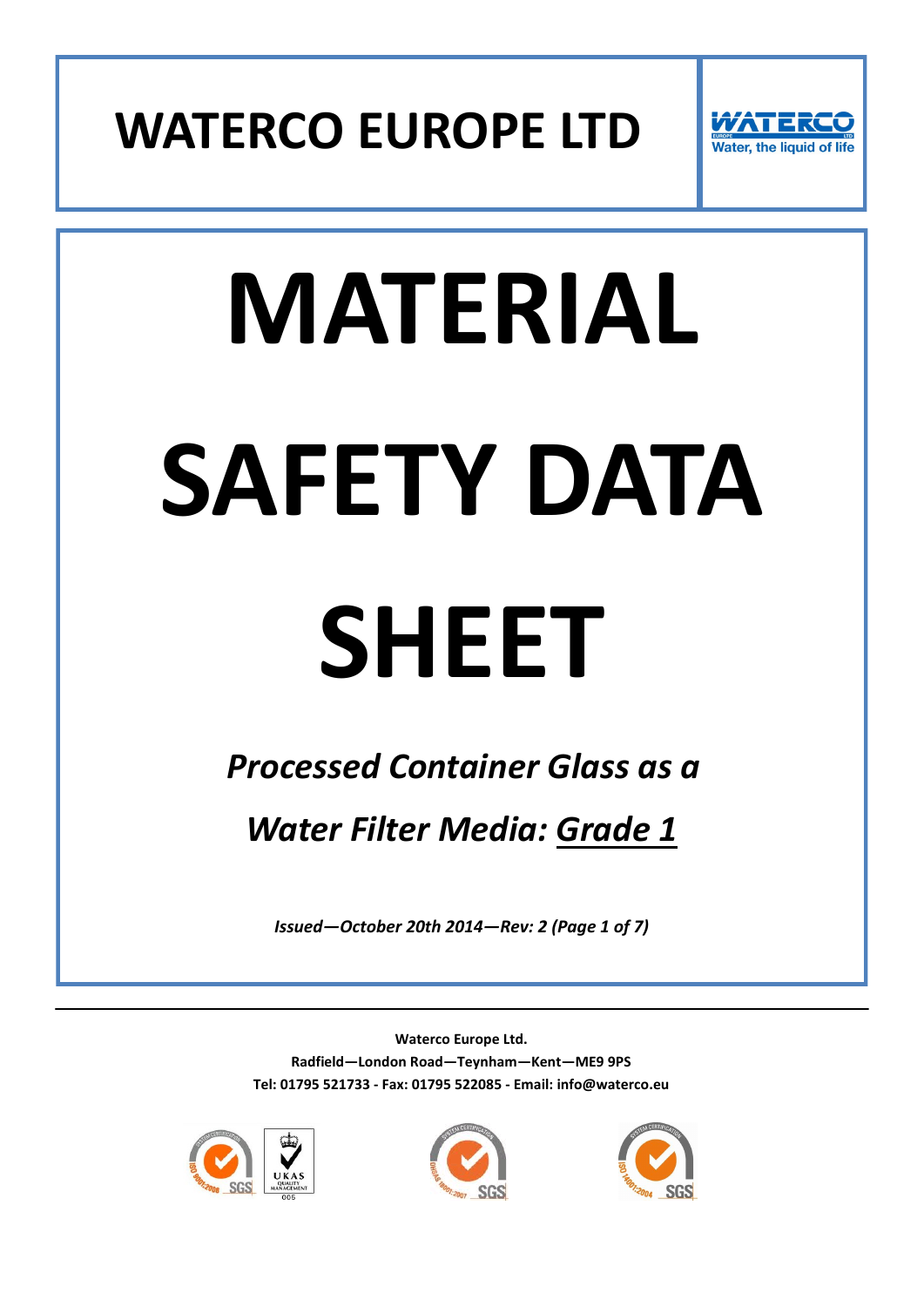



# **MATERIAL SAFETY DATA SHEET**

# *Processed Container Glass as a Water Filter Media: Grade 1*

*Issued—October 20th 2014—Rev: 2 (Page 1 of 7)*





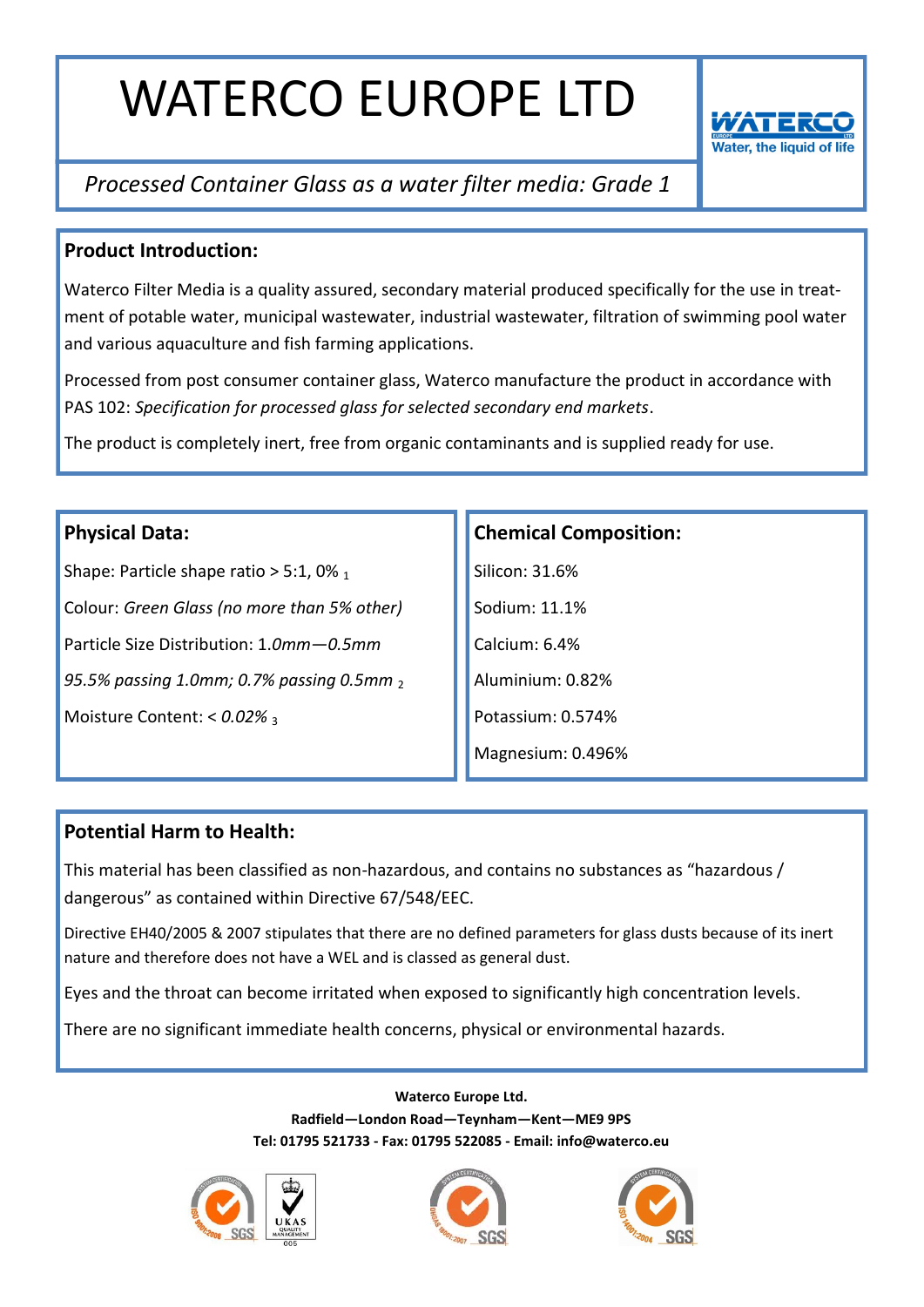

# *Processed Container Glass as a water filter media: Grade 1*

### **Product Introduction:**

Waterco Filter Media is a quality assured, secondary material produced specifically for the use in treatment of potable water, municipal wastewater, industrial wastewater, filtration of swimming pool water and various aquaculture and fish farming applications.

Processed from post consumer container glass, Waterco manufacture the product in accordance with PAS 102: *Specification for processed glass for selected secondary end markets*.

The product is completely inert, free from organic contaminants and is supplied ready for use.

### **Physical Data:**

Shape: Particle shape ratio  $> 5:1,0\%$  1 Colour: *Green Glass (no more than 5% other)* Particle Size Distribution: 1.*0mm—0.5mm 95.5% passing 1.0mm; 0.7% passing 0.5mm* <sup>2</sup> Moisture Content: <  $0.02\%$  3

### **Chemical Composition:**

Silicon: 31.6% Sodium: 11.1% Calcium: 6.4% Aluminium: 0.82% Potassium: 0.574% Magnesium: 0.496%

### **Potential Harm to Health:**

This material has been classified as non-hazardous, and contains no substances as "hazardous / dangerous" as contained within Directive 67/548/EEC.

Directive EH40/2005 & 2007 stipulates that there are no defined parameters for glass dusts because of its inert nature and therefore does not have a WEL and is classed as general dust.

Eyes and the throat can become irritated when exposed to significantly high concentration levels.

There are no significant immediate health concerns, physical or environmental hazards.





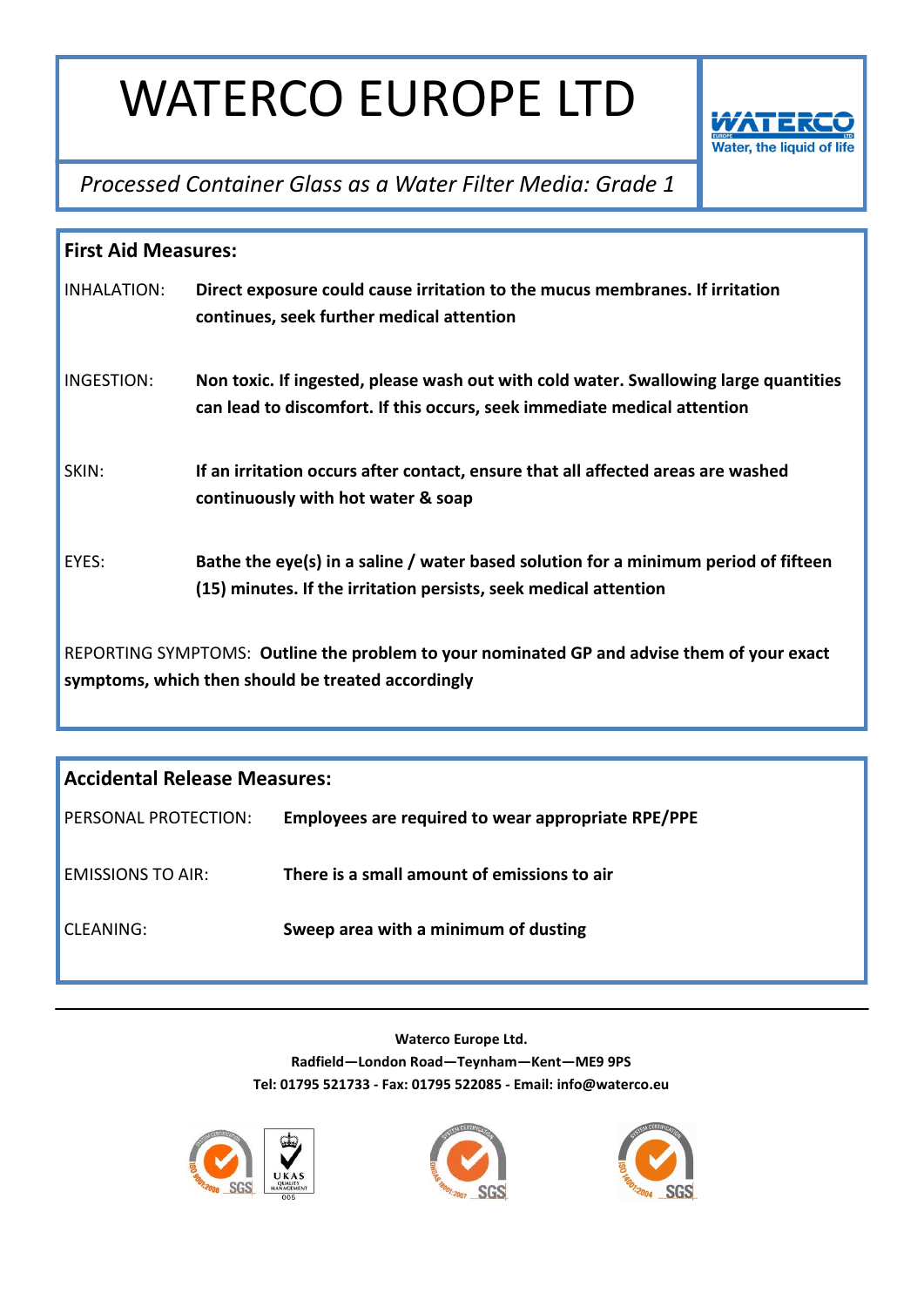

*Processed Container Glass as a Water Filter Media: Grade 1*

| <b>First Aid Measures:</b>                                                                                                                       |                                                                                                                                                                  |  |
|--------------------------------------------------------------------------------------------------------------------------------------------------|------------------------------------------------------------------------------------------------------------------------------------------------------------------|--|
| INHALATION:                                                                                                                                      | Direct exposure could cause irritation to the mucus membranes. If irritation<br>continues, seek further medical attention                                        |  |
| INGESTION:                                                                                                                                       | Non toxic. If ingested, please wash out with cold water. Swallowing large quantities<br>can lead to discomfort. If this occurs, seek immediate medical attention |  |
| SKIN:                                                                                                                                            | If an irritation occurs after contact, ensure that all affected areas are washed<br>continuously with hot water & soap                                           |  |
| EYES:                                                                                                                                            | Bathe the eye(s) in a saline / water based solution for a minimum period of fifteen<br>(15) minutes. If the irritation persists, seek medical attention          |  |
| REPORTING SYMPTOMS: Outline the problem to your nominated GP and advise them of your exact<br>symptoms, which then should be treated accordingly |                                                                                                                                                                  |  |

| <b>Accidental Release Measures:</b> |                                                    |  |
|-------------------------------------|----------------------------------------------------|--|
| PERSONAL PROTECTION:                | Employees are required to wear appropriate RPE/PPE |  |
| <b>FMISSIONS TO AIR:</b>            | There is a small amount of emissions to air        |  |
| CLEANING:                           | Sweep area with a minimum of dusting               |  |





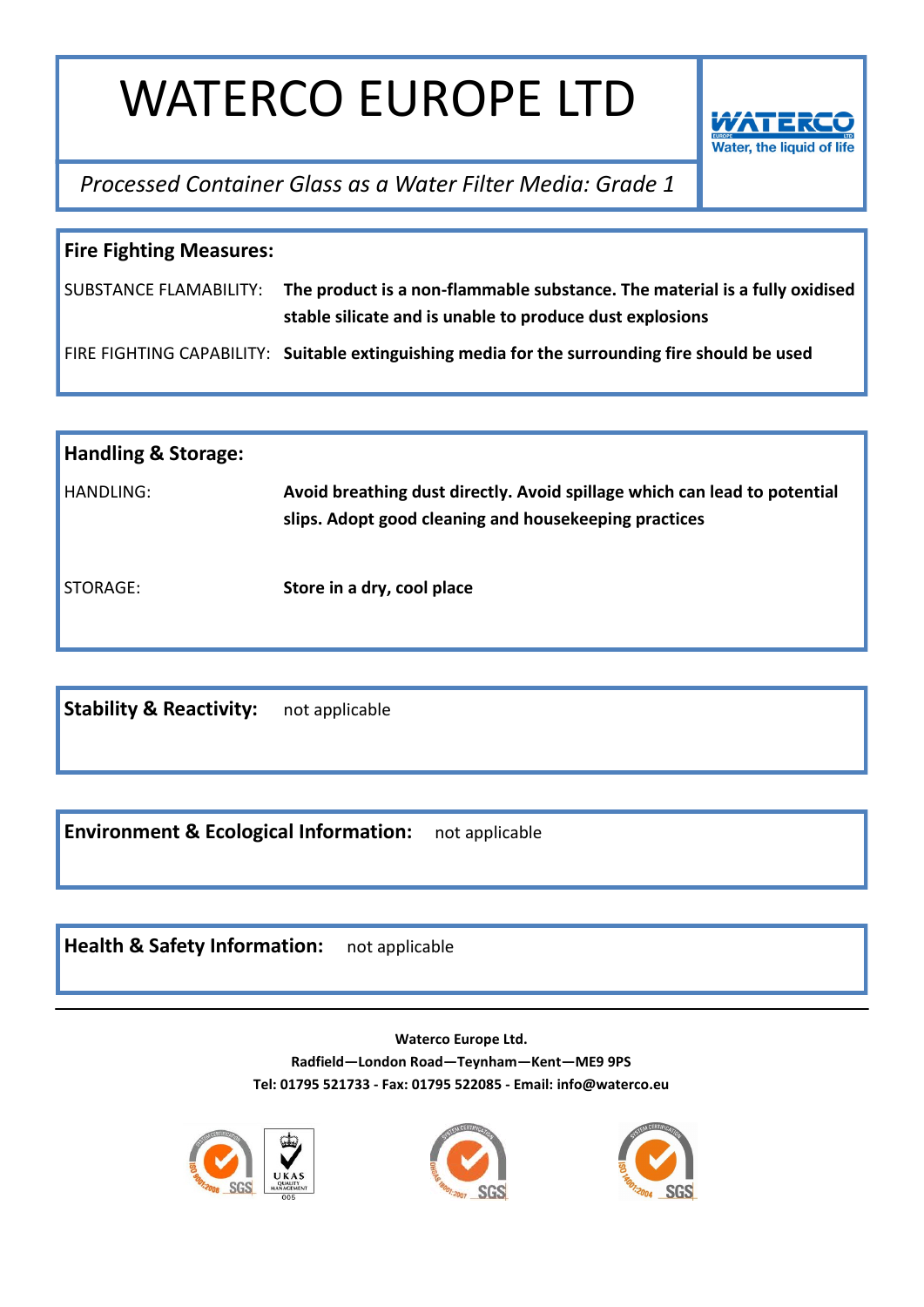

*Processed Container Glass as a Water Filter Media: Grade 1*

| <b>Fire Fighting Measures:</b> |                                                                                                                                                               |  |  |
|--------------------------------|---------------------------------------------------------------------------------------------------------------------------------------------------------------|--|--|
|                                | SUBSTANCE FLAMABILITY: The product is a non-flammable substance. The material is a fully oxidised<br>stable silicate and is unable to produce dust explosions |  |  |
|                                | FIRE FIGHTING CAPABILITY: Suitable extinguishing media for the surrounding fire should be used                                                                |  |  |

| <b>Handling &amp; Storage:</b> |                                                                                                                                    |
|--------------------------------|------------------------------------------------------------------------------------------------------------------------------------|
| HANDLING:                      | Avoid breathing dust directly. Avoid spillage which can lead to potential<br>slips. Adopt good cleaning and housekeeping practices |
| STORAGE:                       | Store in a dry, cool place                                                                                                         |

**Stability & Reactivity:** not applicable

**Environment & Ecological Information:** not applicable

**Health & Safety Information:** not applicable





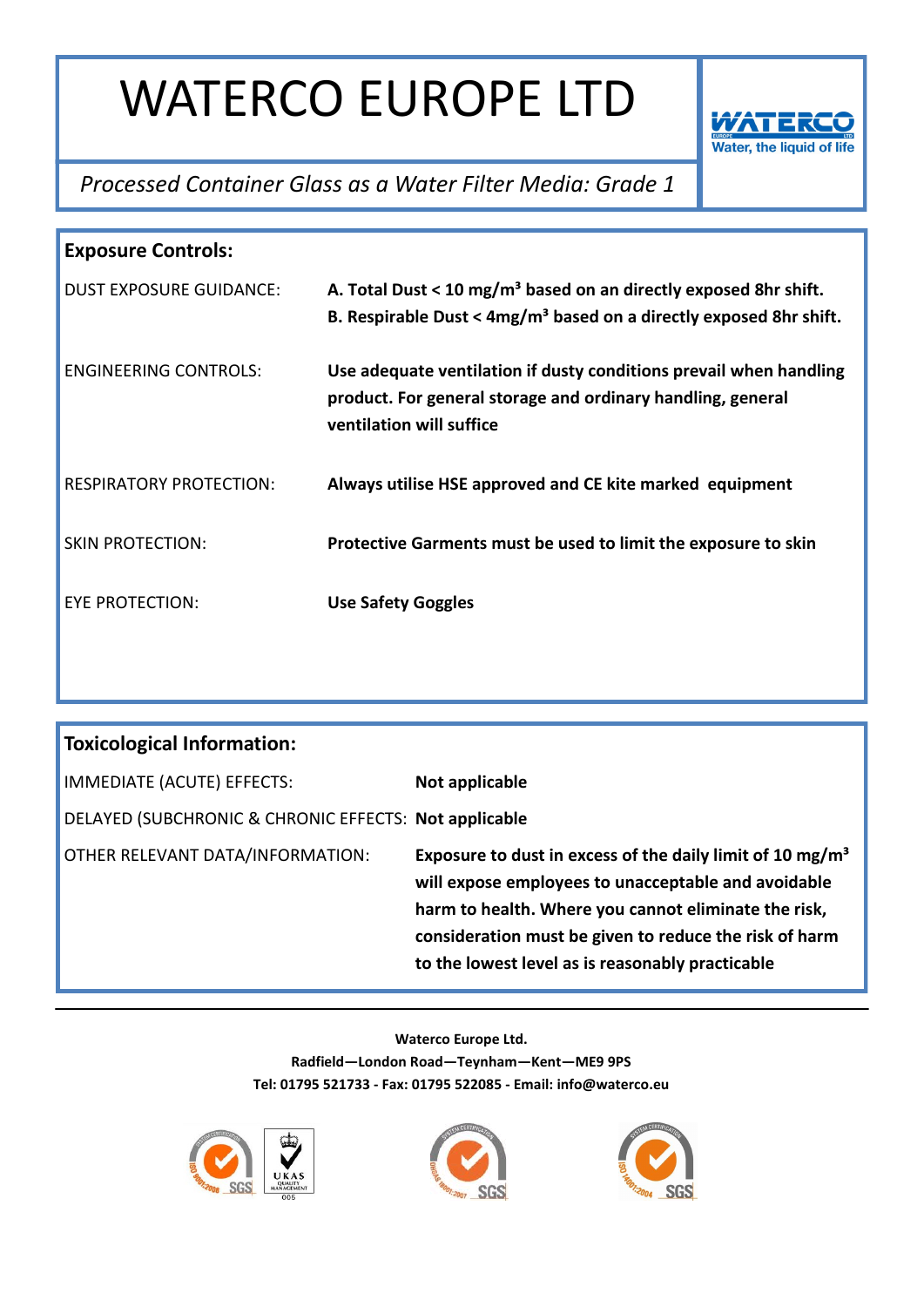

### *Processed Container Glass as a Water Filter Media: Grade 1*

| <b>Exposure Controls:</b>      |                                                                                                                                                               |  |
|--------------------------------|---------------------------------------------------------------------------------------------------------------------------------------------------------------|--|
| <b>DUST EXPOSURE GUIDANCE:</b> | A. Total Dust < 10 mg/m <sup>3</sup> based on an directly exposed 8hr shift.<br>B. Respirable Dust < $4mg/m3$ based on a directly exposed 8hr shift.          |  |
| <b>FNGINFFRING CONTROLS:</b>   | Use adequate ventilation if dusty conditions prevail when handling<br>product. For general storage and ordinary handling, general<br>ventilation will suffice |  |
| <b>RESPIRATORY PROTECTION:</b> | Always utilise HSE approved and CE kite marked equipment                                                                                                      |  |
| <b>SKIN PROTECTION:</b>        | Protective Garments must be used to limit the exposure to skin                                                                                                |  |
| EYE PROTECTION:                | <b>Use Safety Goggles</b>                                                                                                                                     |  |

| <b>Toxicological Information:</b>                     |                                                                                                                                                                                                                                                                                                    |  |  |
|-------------------------------------------------------|----------------------------------------------------------------------------------------------------------------------------------------------------------------------------------------------------------------------------------------------------------------------------------------------------|--|--|
| IMMEDIATE (ACUTE) EFFECTS:                            | Not applicable                                                                                                                                                                                                                                                                                     |  |  |
| DELAYED (SUBCHRONIC & CHRONIC EFFECTS: Not applicable |                                                                                                                                                                                                                                                                                                    |  |  |
| OTHER RELEVANT DATA/INFORMATION:                      | Exposure to dust in excess of the daily limit of 10 mg/m <sup>3</sup><br>will expose employees to unacceptable and avoidable<br>harm to health. Where you cannot eliminate the risk,<br>consideration must be given to reduce the risk of harm<br>to the lowest level as is reasonably practicable |  |  |





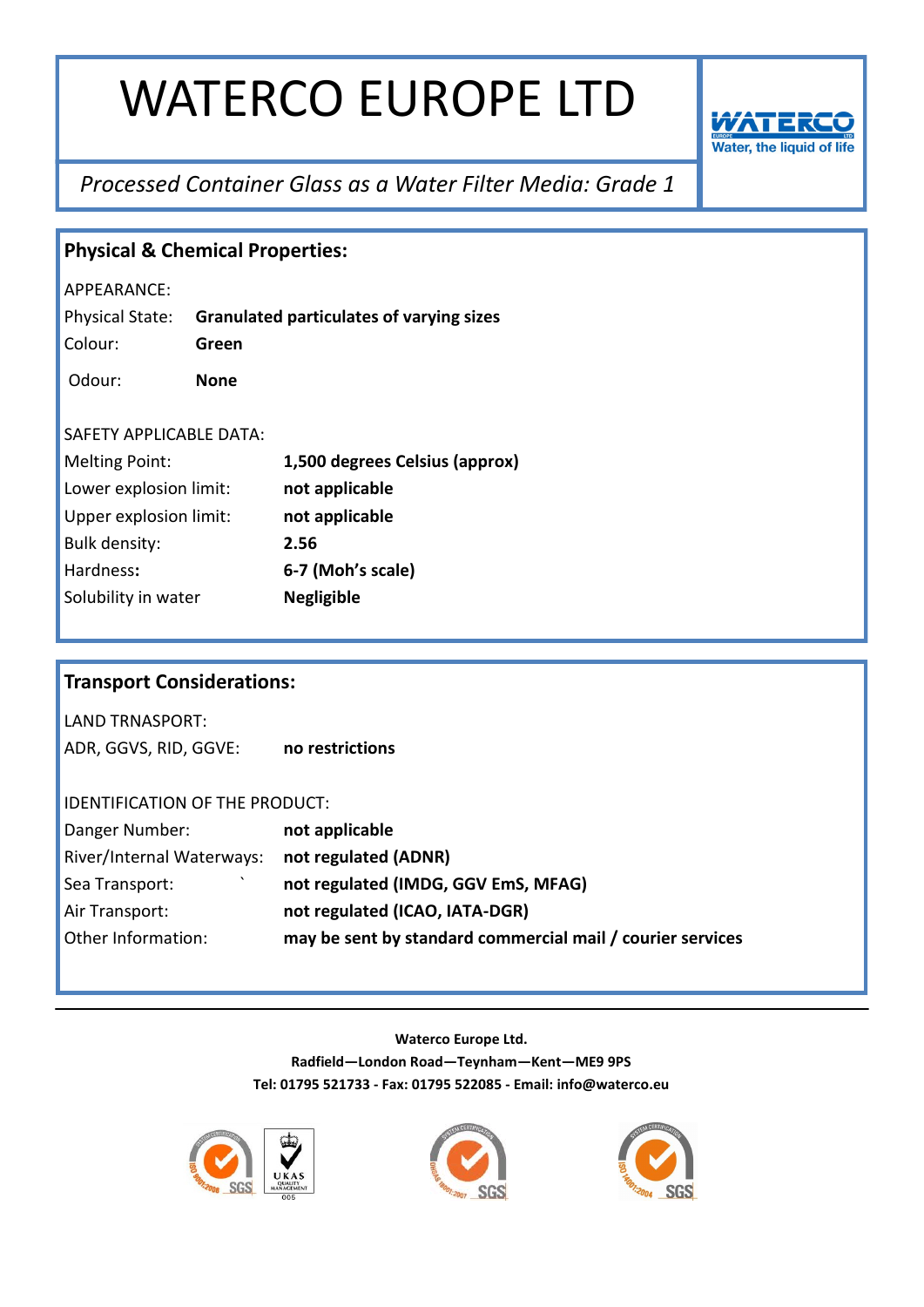

## *Processed Container Glass as a Water Filter Media: Grade 1*

| <b>Physical &amp; Chemical Properties:</b> |             |                                                            |  |
|--------------------------------------------|-------------|------------------------------------------------------------|--|
| APPEARANCE:                                |             |                                                            |  |
| Physical State:                            |             | <b>Granulated particulates of varying sizes</b>            |  |
| Colour:                                    | Green       |                                                            |  |
| Odour:                                     | <b>None</b> |                                                            |  |
|                                            |             |                                                            |  |
| SAFETY APPLICABLE DATA:                    |             |                                                            |  |
| <b>Melting Point:</b>                      |             | 1,500 degrees Celsius (approx)                             |  |
| Lower explosion limit:                     |             | not applicable                                             |  |
| Upper explosion limit:                     |             | not applicable                                             |  |
| <b>Bulk density:</b>                       |             | 2.56                                                       |  |
| Hardness:                                  |             | 6-7 (Moh's scale)                                          |  |
| Solubility in water                        |             | <b>Negligible</b>                                          |  |
|                                            |             |                                                            |  |
|                                            |             |                                                            |  |
| <b>Transport Considerations:</b>           |             |                                                            |  |
| <b>LAND TRNASPORT:</b>                     |             |                                                            |  |
| ADR, GGVS, RID, GGVE:                      |             | no restrictions                                            |  |
|                                            |             |                                                            |  |
| IDENTIFICATION OF THE PRODUCT:             |             |                                                            |  |
| Danger Number:                             |             | not applicable                                             |  |
| River/Internal Waterways:                  |             | not regulated (ADNR)                                       |  |
| Sea Transport:                             |             | not regulated (IMDG, GGV EmS, MFAG)                        |  |
| Air Transport:                             |             | not regulated (ICAO, IATA-DGR)                             |  |
| Other Information:                         |             | may be sent by standard commercial mail / courier services |  |